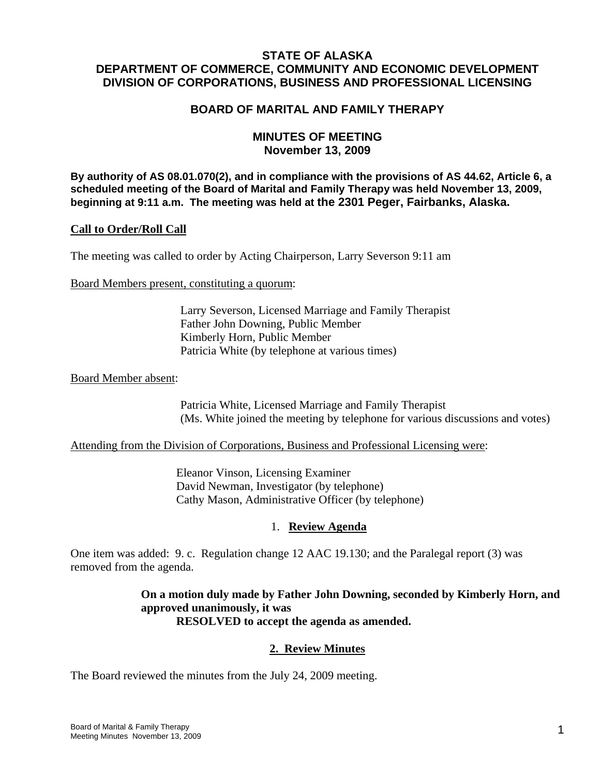# **STATE OF ALASKA DEPARTMENT OF COMMERCE, COMMUNITY AND ECONOMIC DEVELOPMENT DIVISION OF CORPORATIONS, BUSINESS AND PROFESSIONAL LICENSING**

## **BOARD OF MARITAL AND FAMILY THERAPY**

## **MINUTES OF MEETING November 13, 2009**

**By authority of AS 08.01.070(2), and in compliance with the provisions of AS 44.62, Article 6, a scheduled meeting of the Board of Marital and Family Therapy was held November 13, 2009, beginning at 9:11 a.m. The meeting was held at the 2301 Peger, Fairbanks, Alaska.**

#### **Call to Order/Roll Call**

The meeting was called to order by Acting Chairperson, Larry Severson 9:11 am

Board Members present, constituting a quorum:

 Larry Severson, Licensed Marriage and Family Therapist Father John Downing, Public Member Kimberly Horn, Public Member Patricia White (by telephone at various times)

Board Member absent:

 Patricia White, Licensed Marriage and Family Therapist (Ms. White joined the meeting by telephone for various discussions and votes)

Attending from the Division of Corporations, Business and Professional Licensing were:

 Eleanor Vinson, Licensing Examiner David Newman, Investigator (by telephone) Cathy Mason, Administrative Officer (by telephone)

### 1. **Review Agenda**

One item was added: 9. c. Regulation change 12 AAC 19.130; and the Paralegal report (3) was removed from the agenda.

> **On a motion duly made by Father John Downing, seconded by Kimberly Horn, and approved unanimously, it was RESOLVED to accept the agenda as amended.**

### **2. Review Minutes**

The Board reviewed the minutes from the July 24, 2009 meeting.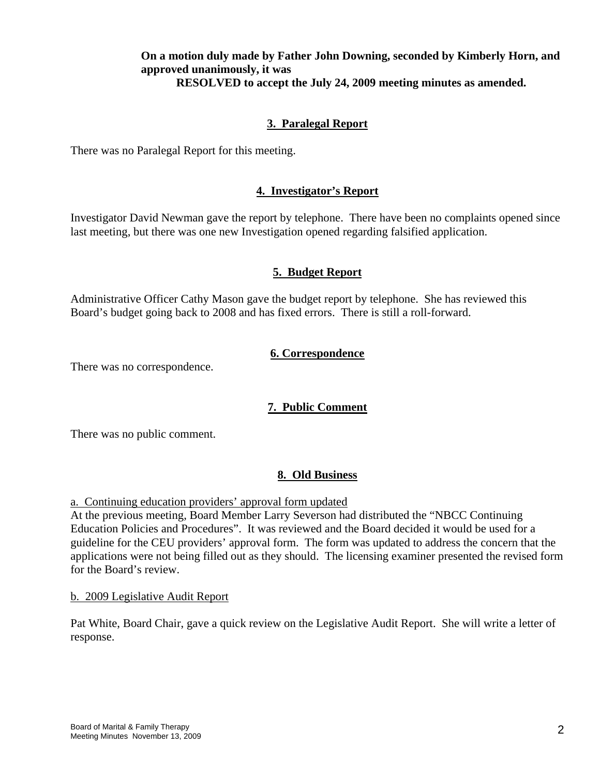## **On a motion duly made by Father John Downing, seconded by Kimberly Horn, and approved unanimously, it was RESOLVED to accept the July 24, 2009 meeting minutes as amended.**

# **3. Paralegal Report**

There was no Paralegal Report for this meeting.

## **4. Investigator's Report**

Investigator David Newman gave the report by telephone. There have been no complaints opened since last meeting, but there was one new Investigation opened regarding falsified application.

### **5. Budget Report**

Administrative Officer Cathy Mason gave the budget report by telephone. She has reviewed this Board's budget going back to 2008 and has fixed errors. There is still a roll-forward.

# **6. Correspondence**

There was no correspondence.

# **7. Public Comment**

There was no public comment.

# **8. Old Business**

a. Continuing education providers' approval form updated

At the previous meeting, Board Member Larry Severson had distributed the "NBCC Continuing Education Policies and Procedures". It was reviewed and the Board decided it would be used for a guideline for the CEU providers' approval form. The form was updated to address the concern that the applications were not being filled out as they should. The licensing examiner presented the revised form for the Board's review.

b. 2009 Legislative Audit Report

Pat White, Board Chair, gave a quick review on the Legislative Audit Report. She will write a letter of response.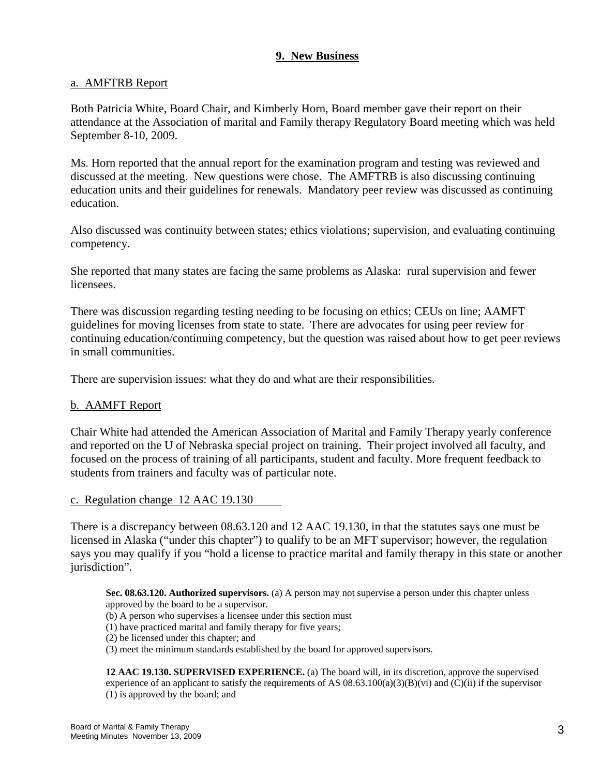## **9. New Business**

### a. AMFTRB Report

Both Patricia White, Board Chair, and Kimberly Horn, Board member gave their report on their attendance at the Association of marital and Family therapy Regulatory Board meeting which was held September 8-10, 2009.

Ms. Horn reported that the annual report for the examination program and testing was reviewed and discussed at the meeting. New questions were chose. The AMFTRB is also discussing continuing education units and their guidelines for renewals. Mandatory peer review was discussed as continuing education.

Also discussed was continuity between states; ethics violations; supervision, and evaluating continuing competency.

She reported that many states are facing the same problems as Alaska: rural supervision and fewer licensees.

There was discussion regarding testing needing to be focusing on ethics; CEUs on line; AAMFT guidelines for moving licenses from state to state. There are advocates for using peer review for continuing education/continuing competency, but the question was raised about how to get peer reviews in small communities.

There are supervision issues: what they do and what are their responsibilities.

### b. AAMFT Report

Chair White had attended the American Association of Marital and Family Therapy yearly conference and reported on the U of Nebraska special project on training. Their project involved all faculty, and focused on the process of training of all participants, student and faculty. More frequent feedback to students from trainers and faculty was of particular note.

c. Regulation change 12 AAC 19.130

There is a discrepancy between 08.63.120 and 12 AAC 19.130, in that the statutes says one must be licensed in Alaska ("under this chapter") to qualify to be an MFT supervisor; however, the regulation says you may qualify if you "hold a license to practice marital and family therapy in this state or another jurisdiction".

**Sec. 08.63.120. Authorized supervisors.** (a) A person may not supervise a person under this chapter unless approved by the board to be a supervisor.

- (b) A person who supervises a licensee under this section must
- (1) have practiced marital and family therapy for five years;
- (2) be licensed under this chapter; and
- (3) meet the minimum standards established by the board for approved supervisors.

**12 AAC 19.130. SUPERVISED EXPERIENCE.** (a) The board will, in its discretion, approve the supervised experience of an applicant to satisfy the requirements of AS  $(0.63.100(a)(3)(B)(vi)$  and  $(C)(ii)$  if the supervisor (1) is approved by the board; and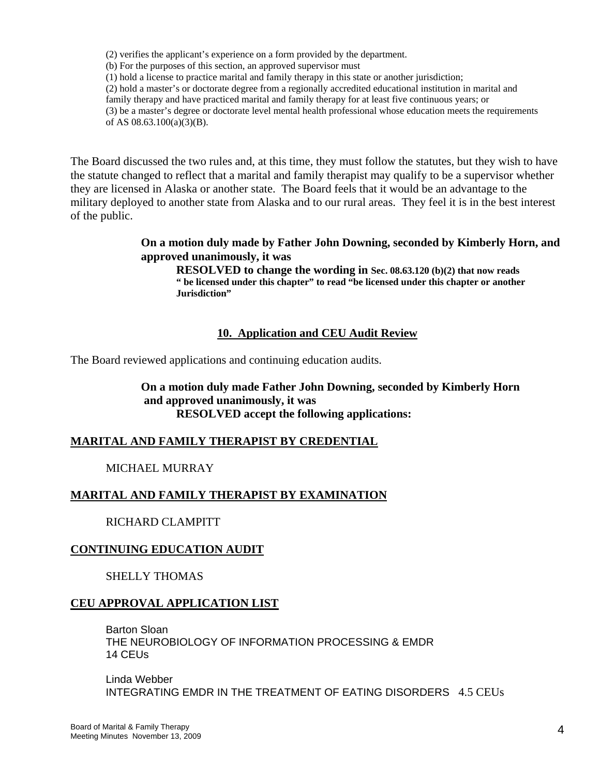(2) verifies the applicant's experience on a form provided by the department.

(b) For the purposes of this section, an approved supervisor must

(1) hold a license to practice marital and family therapy in this state or another jurisdiction;

(2) hold a master's or doctorate degree from a regionally accredited educational institution in marital and

family therapy and have practiced marital and family therapy for at least five continuous years; or

(3) be a master's degree or doctorate level mental health professional whose education meets the requirements of AS 08.63.100(a)(3)(B).

The Board discussed the two rules and, at this time, they must follow the statutes, but they wish to have the statute changed to reflect that a marital and family therapist may qualify to be a supervisor whether they are licensed in Alaska or another state. The Board feels that it would be an advantage to the military deployed to another state from Alaska and to our rural areas. They feel it is in the best interest of the public.

### **On a motion duly made by Father John Downing, seconded by Kimberly Horn, and approved unanimously, it was**

 **RESOLVED to change the wording in Sec. 08.63.120 (b)(2) that now reads " be licensed under this chapter" to read "be licensed under this chapter or another Jurisdiction"**

### **10. Application and CEU Audit Review**

The Board reviewed applications and continuing education audits.

**On a motion duly made Father John Downing, seconded by Kimberly Horn and approved unanimously, it was RESOLVED accept the following applications:**

# **MARITAL AND FAMILY THERAPIST BY CREDENTIAL**

MICHAEL MURRAY

# **MARITAL AND FAMILY THERAPIST BY EXAMINATION**

RICHARD CLAMPITT

### **CONTINUING EDUCATION AUDIT**

SHELLY THOMAS

### **CEU APPROVAL APPLICATION LIST**

Barton Sloan THE NEUROBIOLOGY OF INFORMATION PROCESSING & EMDR 14 CEUs

Linda Webber INTEGRATING EMDR IN THE TREATMENT OF EATING DISORDERS 4.5 CEUs